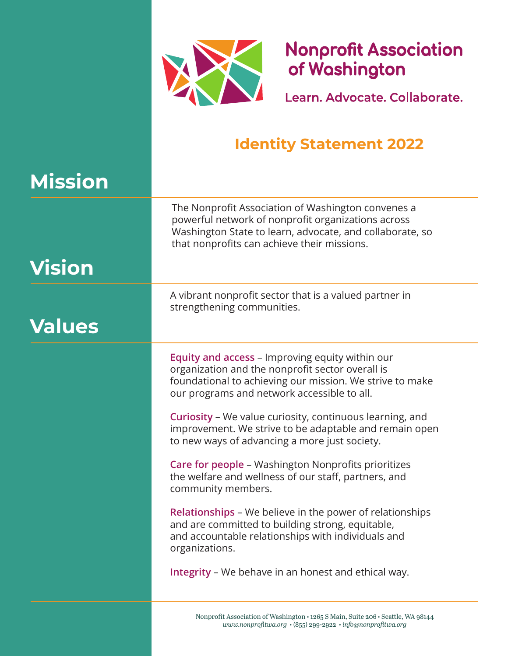

**Nonprofit Association** of Washington

Learn, Advocate, Collaborate,

### **Identity Statement 2022**

# **Mission**

The Nonprofit Association of Washington convenes a powerful network of nonprofit organizations across Washington State to learn, advocate, and collaborate, so that nonprofits can achieve their missions.

# **Vision**

## **Values**

A vibrant nonprofit sector that is a valued partner in strengthening communities.

Equity and access – Improving equity within our organization and the nonprofit sector overall is foundational to achieving our mission. We strive to make our programs and network accessible to all.

Curiosity – We value curiosity, continuous learning, and improvement. We strive to be adaptable and remain open to new ways of advancing a more just society.

Care for people – Washington Nonprofits prioritizes the welfare and wellness of our staff, partners, and community members.

Relationships – We believe in the power of relationships and are committed to building strong, equitable, and accountable relationships with individuals and organizations.

Integrity – We behave in an honest and ethical way.